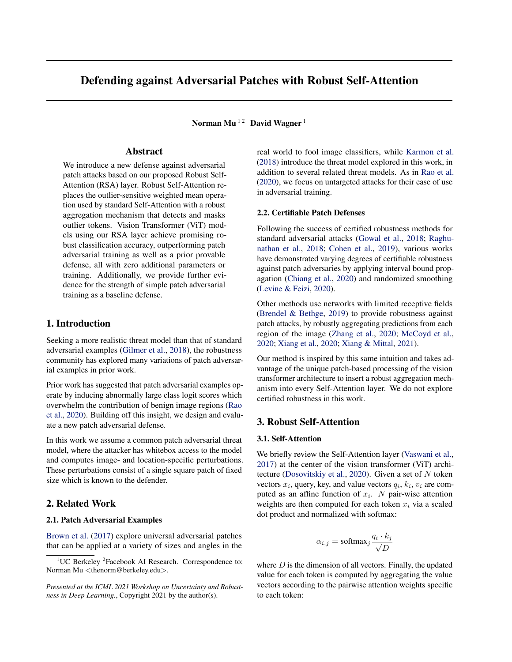# Defending against Adversarial Patches with Robust Self-Attention

Norman Mu<sup>12</sup> David Wagner<sup>1</sup>

# Abstract

We introduce a new defense against adversarial patch attacks based on our proposed Robust Self-Attention (RSA) layer. Robust Self-Attention replaces the outlier-sensitive weighted mean operation used by standard Self-Attention with a robust aggregation mechanism that detects and masks outlier tokens. Vision Transformer (ViT) models using our RSA layer achieve promising robust classification accuracy, outperforming patch adversarial training as well as a prior provable defense, all with zero additional parameters or training. Additionally, we provide further evidence for the strength of simple patch adversarial training as a baseline defense.

# 1. Introduction

Seeking a more realistic threat model than that of standard adversarial examples [\(Gilmer et al.,](#page-4-0) [2018\)](#page-4-0), the robustness community has explored many variations of patch adversarial examples in prior work.

Prior work has suggested that patch adversarial examples operate by inducing abnormally large class logit scores which overwhelm the contribution of benign image regions [\(Rao](#page-4-0) [et al.,](#page-4-0) [2020\)](#page-4-0). Building off this insight, we design and evaluate a new patch adversarial defense.

In this work we assume a common patch adversarial threat model, where the attacker has whitebox access to the model and computes image- and location-specific perturbations. These perturbations consist of a single square patch of fixed size which is known to the defender.

## 2. Related Work

## 2.1. Patch Adversarial Examples

[Brown et al.](#page-4-0) [\(2017\)](#page-4-0) explore universal adversarial patches that can be applied at a variety of sizes and angles in the real world to fool image classifiers, while [Karmon et al.](#page-4-0) [\(2018\)](#page-4-0) introduce the threat model explored in this work, in addition to several related threat models. As in [Rao et al.](#page-4-0) [\(2020\)](#page-4-0), we focus on untargeted attacks for their ease of use in adversarial training.

## 2.2. Certifiable Patch Defenses

Following the success of certified robustness methods for standard adversarial attacks [\(Gowal et al.,](#page-4-0) [2018;](#page-4-0) [Raghu](#page-4-0)[nathan et al.,](#page-4-0) [2018;](#page-4-0) [Cohen et al.,](#page-4-0) [2019\)](#page-4-0), various works have demonstrated varying degrees of certifiable robustness against patch adversaries by applying interval bound propagation [\(Chiang et al.,](#page-4-0) [2020\)](#page-4-0) and randomized smoothing [\(Levine & Feizi,](#page-4-0) [2020\)](#page-4-0).

Other methods use networks with limited receptive fields [\(Brendel & Bethge,](#page-4-0) [2019\)](#page-4-0) to provide robustness against patch attacks, by robustly aggregating predictions from each region of the image [\(Zhang et al.,](#page-4-0) [2020;](#page-4-0) [McCoyd et al.,](#page-4-0) [2020;](#page-4-0) [Xiang et al.,](#page-4-0) [2020;](#page-4-0) [Xiang & Mittal,](#page-4-0) [2021\)](#page-4-0).

Our method is inspired by this same intuition and takes advantage of the unique patch-based processing of the vision transformer architecture to insert a robust aggregation mechanism into every Self-Attention layer. We do not explore certified robustness in this work.

## 3. Robust Self-Attention

#### 3.1. Self-Attention

We briefly review the Self-Attention layer [\(Vaswani et al.,](#page-4-0) [2017\)](#page-4-0) at the center of the vision transformer (ViT) archi-tecture [\(Dosovitskiy et al.,](#page-4-0) [2020\)](#page-4-0). Given a set of  $N$  token vectors  $x_i$ , query, key, and value vectors  $q_i$ ,  $k_i$ ,  $v_i$  are computed as an affine function of  $x_i$ . N pair-wise attention weights are then computed for each token  $x_i$  via a scaled dot product and normalized with softmax:

$$
\alpha_{i,j} = \text{softmax}_j \frac{q_i \cdot k_j}{\sqrt{D}}
$$

where  $D$  is the dimension of all vectors. Finally, the updated value for each token is computed by aggregating the value vectors according to the pairwise attention weights specific to each token:

 $1^1$ UC Berkeley <sup>2</sup> Facebook AI Research. Correspondence to: Norman Mu <thenorm@berkeley.edu>.

*Presented at the ICML 2021 Workshop on Uncertainty and Robustness in Deep Learning.*, Copyright 2021 by the author(s).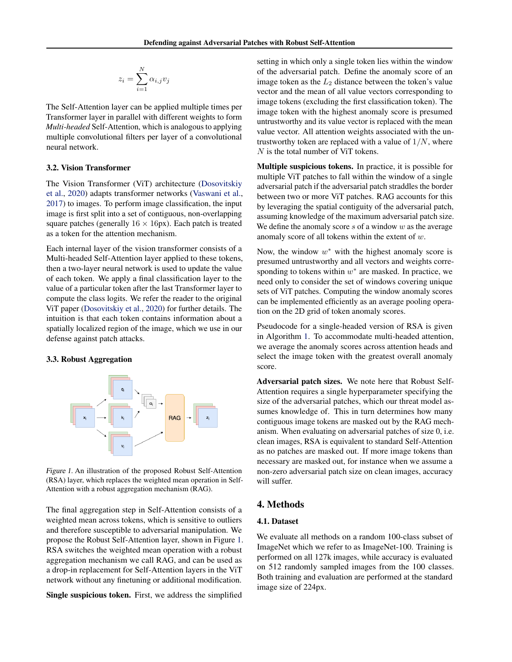$$
z_i = \sum_{i=1}^N \alpha_{i,j} v_j
$$

The Self-Attention layer can be applied multiple times per Transformer layer in parallel with different weights to form *Multi-headed* Self-Attention, which is analogous to applying multiple convolutional filters per layer of a convolutional neural network.

#### 3.2. Vision Transformer

The Vision Transformer (ViT) architecture [\(Dosovitskiy](#page-4-0) [et al.,](#page-4-0) [2020\)](#page-4-0) adapts transformer networks [\(Vaswani et al.,](#page-4-0) [2017\)](#page-4-0) to images. To perform image classification, the input image is first split into a set of contiguous, non-overlapping square patches (generally  $16 \times 16$ px). Each patch is treated as a token for the attention mechanism.

Each internal layer of the vision transformer consists of a Multi-headed Self-Attention layer applied to these tokens, then a two-layer neural network is used to update the value of each token. We apply a final classification layer to the value of a particular token after the last Transformer layer to compute the class logits. We refer the reader to the original ViT paper [\(Dosovitskiy et al.,](#page-4-0) [2020\)](#page-4-0) for further details. The intuition is that each token contains information about a spatially localized region of the image, which we use in our defense against patch attacks.

#### 3.3. Robust Aggregation



Figure 1. An illustration of the proposed Robust Self-Attention (RSA) layer, which replaces the weighted mean operation in Self-Attention with a robust aggregation mechanism (RAG).

The final aggregation step in Self-Attention consists of a weighted mean across tokens, which is sensitive to outliers and therefore susceptible to adversarial manipulation. We propose the Robust Self-Attention layer, shown in Figure 1. RSA switches the weighted mean operation with a robust aggregation mechanism we call RAG, and can be used as a drop-in replacement for Self-Attention layers in the ViT network without any finetuning or additional modification.

Single suspicious token. First, we address the simplified

setting in which only a single token lies within the window of the adversarial patch. Define the anomaly score of an image token as the  $L_2$  distance between the token's value vector and the mean of all value vectors corresponding to image tokens (excluding the first classification token). The image token with the highest anomaly score is presumed untrustworthy and its value vector is replaced with the mean value vector. All attention weights associated with the untrustworthy token are replaced with a value of  $1/N$ , where N is the total number of ViT tokens.

Multiple suspicious tokens. In practice, it is possible for multiple ViT patches to fall within the window of a single adversarial patch if the adversarial patch straddles the border between two or more ViT patches. RAG accounts for this by leveraging the spatial contiguity of the adversarial patch, assuming knowledge of the maximum adversarial patch size. We define the anomaly score  $s$  of a window  $w$  as the average anomaly score of all tokens within the extent of w.

Now, the window  $w^*$  with the highest anomaly score is presumed untrustworthy and all vectors and weights corresponding to tokens within  $w^*$  are masked. In practice, we need only to consider the set of windows covering unique sets of ViT patches. Computing the window anomaly scores can be implemented efficiently as an average pooling operation on the 2D grid of token anomaly scores.

Pseudocode for a single-headed version of RSA is given in Algorithm [1.](#page-2-0) To accommodate multi-headed attention, we average the anomaly scores across attention heads and select the image token with the greatest overall anomaly score.

Adversarial patch sizes. We note here that Robust Self-Attention requires a single hyperparameter specifying the size of the adversarial patches, which our threat model assumes knowledge of. This in turn determines how many contiguous image tokens are masked out by the RAG mechanism. When evaluating on adversarial patches of size 0, i.e. clean images, RSA is equivalent to standard Self-Attention as no patches are masked out. If more image tokens than necessary are masked out, for instance when we assume a non-zero adversarial patch size on clean images, accuracy will suffer.

## 4. Methods

#### 4.1. Dataset

We evaluate all methods on a random 100-class subset of ImageNet which we refer to as ImageNet-100. Training is performed on all 127k images, while accuracy is evaluated on 512 randomly sampled images from the 100 classes. Both training and evaluation are performed at the standard image size of 224px.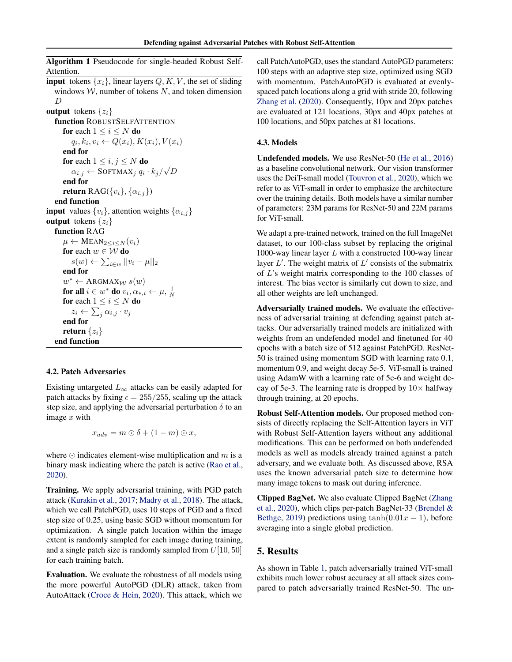<span id="page-2-0"></span>Algorithm 1 Pseudocode for single-headed Robust Self-Attention.

**input** tokens  $\{x_i\}$ , linear layers Q, K, V, the set of sliding windows  $W$ , number of tokens  $N$ , and token dimension D output tokens  $\{z_i\}$ 

function ROBUSTSELFATTENTION for each  $1 \leq i \leq N$  do  $q_i, k_i, v_i \leftarrow Q(x_i), K(x_i), V(x_i)$ end for for each  $1 \leq i, j \leq N$  do  $\alpha_{i,j} \leftarrow \text{SoftMAX}_j q_i \cdot k_j /$ √ D end for return RAG( $\{v_i\}$ ,  $\{\alpha_{i,j}\}$ ) end function **input** values  $\{v_i\}$ , attention weights  $\{\alpha_{i,j}\}$ output tokens  $\{z_i\}$ function RAG  $\mu \leftarrow \text{MEAN}_{2 \leq i \leq N}(v_i)$ for each  $w \in \overline{W}$  do  $s(w) \leftarrow \sum_{i \in w} ||v_i - \mu||_2$ end for  $w^* \leftarrow \text{ARGMAX}_\mathcal{W} s(w)$ for all  $i \in w^*$  do  $v_i, \alpha_{*,i} \leftarrow \mu, \frac{1}{N}$ for each  $1\leq i\leq N$  do  $z_i \leftarrow \sum_j \alpha_{i,j} \cdot v_j$ end for return  $\{z_i\}$ end function

### 4.2. Patch Adversaries

Existing untargeted  $L_{\infty}$  attacks can be easily adapted for patch attacks by fixing  $\epsilon = 255/255$ , scaling up the attack step size, and applying the adversarial perturbation  $\delta$  to an image  $x$  with

 $x_{adv} = m \odot \delta + (1 - m) \odot x,$ 

where  $\odot$  indicates element-wise multiplication and m is a binary mask indicating where the patch is active [\(Rao et al.,](#page-4-0) [2020\)](#page-4-0).

Training. We apply adversarial training, with PGD patch attack [\(Kurakin et al.,](#page-4-0) [2017;](#page-4-0) [Madry et al.,](#page-4-0) [2018\)](#page-4-0). The attack, which we call PatchPGD, uses 10 steps of PGD and a fixed step size of 0.25, using basic SGD without momentum for optimization. A single patch location within the image extent is randomly sampled for each image during training, and a single patch size is randomly sampled from  $U[10, 50]$ for each training batch.

Evaluation. We evaluate the robustness of all models using the more powerful AutoPGD (DLR) attack, taken from AutoAttack [\(Croce & Hein,](#page-4-0) [2020\)](#page-4-0). This attack, which we

call PatchAutoPGD, uses the standard AutoPGD parameters: 100 steps with an adaptive step size, optimized using SGD with momentum. PatchAutoPGD is evaluated at evenlyspaced patch locations along a grid with stride 20, following [Zhang et al.](#page-4-0) [\(2020\)](#page-4-0). Consequently, 10px and 20px patches are evaluated at 121 locations, 30px and 40px patches at 100 locations, and 50px patches at 81 locations.

#### 4.3. Models

Undefended models. We use ResNet-50 [\(He et al.,](#page-4-0) [2016\)](#page-4-0) as a baseline convolutional network. Our vision transformer uses the DeiT-small model [\(Touvron et al.,](#page-4-0) [2020\)](#page-4-0), which we refer to as ViT-small in order to emphasize the architecture over the training details. Both models have a similar number of parameters: 23M params for ResNet-50 and 22M params for ViT-small.

We adapt a pre-trained network, trained on the full ImageNet dataset, to our 100-class subset by replacing the original 1000-way linear layer  $L$  with a constructed 100-way linear layer  $L'$ . The weight matrix of  $L'$  consists of the submatrix of L's weight matrix corresponding to the 100 classes of interest. The bias vector is similarly cut down to size, and all other weights are left unchanged.

Adversarially trained models. We evaluate the effectiveness of adversarial training at defending against patch attacks. Our adversarially trained models are initialized with weights from an undefended model and finetuned for 40 epochs with a batch size of 512 against PatchPGD. ResNet-50 is trained using momentum SGD with learning rate 0.1, momentum 0.9, and weight decay 5e-5. ViT-small is trained using AdamW with a learning rate of 5e-6 and weight decay of 5e-3. The learning rate is dropped by  $10\times$  halfway through training, at 20 epochs.

Robust Self-Attention models. Our proposed method consists of directly replacing the Self-Attention layers in ViT with Robust Self-Attention layers without any additional modifications. This can be performed on both undefended models as well as models already trained against a patch adversary, and we evaluate both. As discussed above, RSA uses the known adversarial patch size to determine how many image tokens to mask out during inference.

Clipped BagNet. We also evaluate Clipped BagNet [\(Zhang](#page-4-0) [et al.,](#page-4-0) [2020\)](#page-4-0), which clips per-patch BagNet-33 [\(Brendel &](#page-4-0) [Bethge,](#page-4-0) [2019\)](#page-4-0) predictions using  $tanh(0.01x - 1)$ , before averaging into a single global prediction.

## 5. Results

As shown in Table [1,](#page-3-0) patch adversarially trained ViT-small exhibits much lower robust accuracy at all attack sizes compared to patch adversarially trained ResNet-50. The un-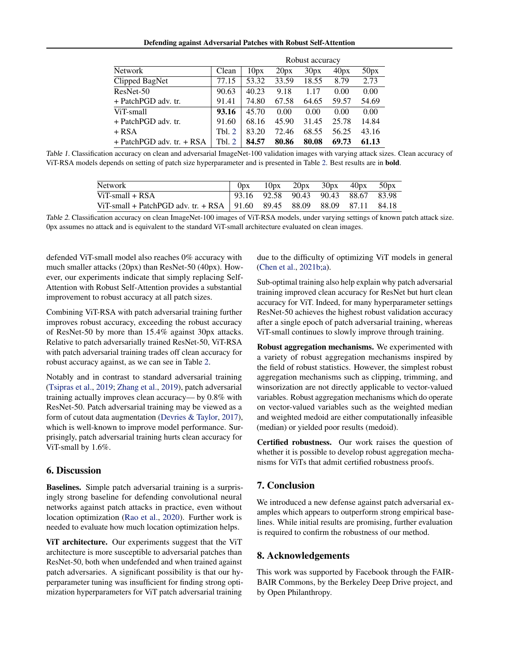Defending against Adversarial Patches with Robust Self-Attention

<span id="page-3-0"></span>

|                               |        | Robust accuracy |       |       |       |       |  |  |  |  |
|-------------------------------|--------|-----------------|-------|-------|-------|-------|--|--|--|--|
| <b>Network</b>                | Clean  | 10px            | 20px  | 30px  | 40px  | 50px  |  |  |  |  |
| Clipped BagNet                | 77.15  | 53.32           | 33.59 | 18.55 | 8.79  | 2.73  |  |  |  |  |
| ResNet-50                     | 90.63  | 40.23           | 9.18  | 1.17  | 0.00  | 0.00  |  |  |  |  |
| + PatchPGD adv. tr.           | 91.41  | 74.80           | 67.58 | 64.65 | 59.57 | 54.69 |  |  |  |  |
| ViT-small                     | 93.16  | 45.70           | 0.00  | 0.00  | 0.00  | 0.00  |  |  |  |  |
| $+$ PatchPGD adv. tr.         | 91.60  | 68.16           | 45.90 | 31.45 | 25.78 | 14.84 |  |  |  |  |
| + RSA                         | Tbl. 2 | 83.20           | 72.46 | 68.55 | 56.25 | 43.16 |  |  |  |  |
| $+$ PatchPGD adv. tr. $+$ RSA | Tbl. 2 | 84.57           | 80.86 | 80.08 | 69.73 | 61.13 |  |  |  |  |

Table 1. Classification accuracy on clean and adversarial ImageNet-100 validation images with varying attack sizes. Clean accuracy of ViT-RSA models depends on setting of patch size hyperparameter and is presented in Table 2. Best results are in bold.

| <b>Network</b>                                                            |  |  | $0px$ 10px 20px 30px 40px 50px              |  |
|---------------------------------------------------------------------------|--|--|---------------------------------------------|--|
| $ViT$ -small + $RSA$                                                      |  |  | $\vert$ 93.16 92.58 90.43 90.43 88.67 83.98 |  |
| ViT-small + PatchPGD adv. tr. + RSA   91.60 89.45 88.09 88.09 87.11 84.18 |  |  |                                             |  |

Table 2. Classification accuracy on clean ImageNet-100 images of ViT-RSA models, under varying settings of known patch attack size. 0px assumes no attack and is equivalent to the standard ViT-small architecture evaluated on clean images.

defended ViT-small model also reaches 0% accuracy with much smaller attacks (20px) than ResNet-50 (40px). However, our experiments indicate that simply replacing Self-Attention with Robust Self-Attention provides a substantial improvement to robust accuracy at all patch sizes.

Combining ViT-RSA with patch adversarial training further improves robust accuracy, exceeding the robust accuracy of ResNet-50 by more than 15.4% against 30px attacks. Relative to patch adversarially trained ResNet-50, ViT-RSA with patch adversarial training trades off clean accuracy for robust accuracy against, as we can see in Table 2.

Notably and in contrast to standard adversarial training [\(Tsipras et al.,](#page-4-0) [2019;](#page-4-0) [Zhang et al.,](#page-4-0) [2019\)](#page-4-0), patch adversarial training actually improves clean accuracy— by 0.8% with ResNet-50. Patch adversarial training may be viewed as a form of cutout data augmentation [\(Devries & Taylor,](#page-4-0) [2017\)](#page-4-0), which is well-known to improve model performance. Surprisingly, patch adversarial training hurts clean accuracy for ViT-small by 1.6%.

## 6. Discussion

Baselines. Simple patch adversarial training is a surprisingly strong baseline for defending convolutional neural networks against patch attacks in practice, even without location optimization [\(Rao et al.,](#page-4-0) [2020\)](#page-4-0). Further work is needed to evaluate how much location optimization helps.

ViT architecture. Our experiments suggest that the ViT architecture is more susceptible to adversarial patches than ResNet-50, both when undefended and when trained against patch adversaries. A significant possibility is that our hyperparameter tuning was insufficient for finding strong optimization hyperparameters for ViT patch adversarial training due to the difficulty of optimizing ViT models in general [\(Chen et al.,](#page-4-0) [2021b;a\)](#page-4-0).

Sub-optimal training also help explain why patch adversarial training improved clean accuracy for ResNet but hurt clean accuracy for ViT. Indeed, for many hyperparameter settings ResNet-50 achieves the highest robust validation accuracy after a single epoch of patch adversarial training, whereas ViT-small continues to slowly improve through training.

Robust aggregation mechanisms. We experimented with a variety of robust aggregation mechanisms inspired by the field of robust statistics. However, the simplest robust aggregation mechanisms such as clipping, trimming, and winsorization are not directly applicable to vector-valued variables. Robust aggregation mechanisms which do operate on vector-valued variables such as the weighted median and weighted medoid are either computationally infeasible (median) or yielded poor results (medoid).

Certified robustness. Our work raises the question of whether it is possible to develop robust aggregation mechanisms for ViTs that admit certified robustness proofs.

## 7. Conclusion

We introduced a new defense against patch adversarial examples which appears to outperform strong empirical baselines. While initial results are promising, further evaluation is required to confirm the robustness of our method.

## 8. Acknowledgements

This work was supported by Facebook through the FAIR-BAIR Commons, by the Berkeley Deep Drive project, and by Open Philanthropy.